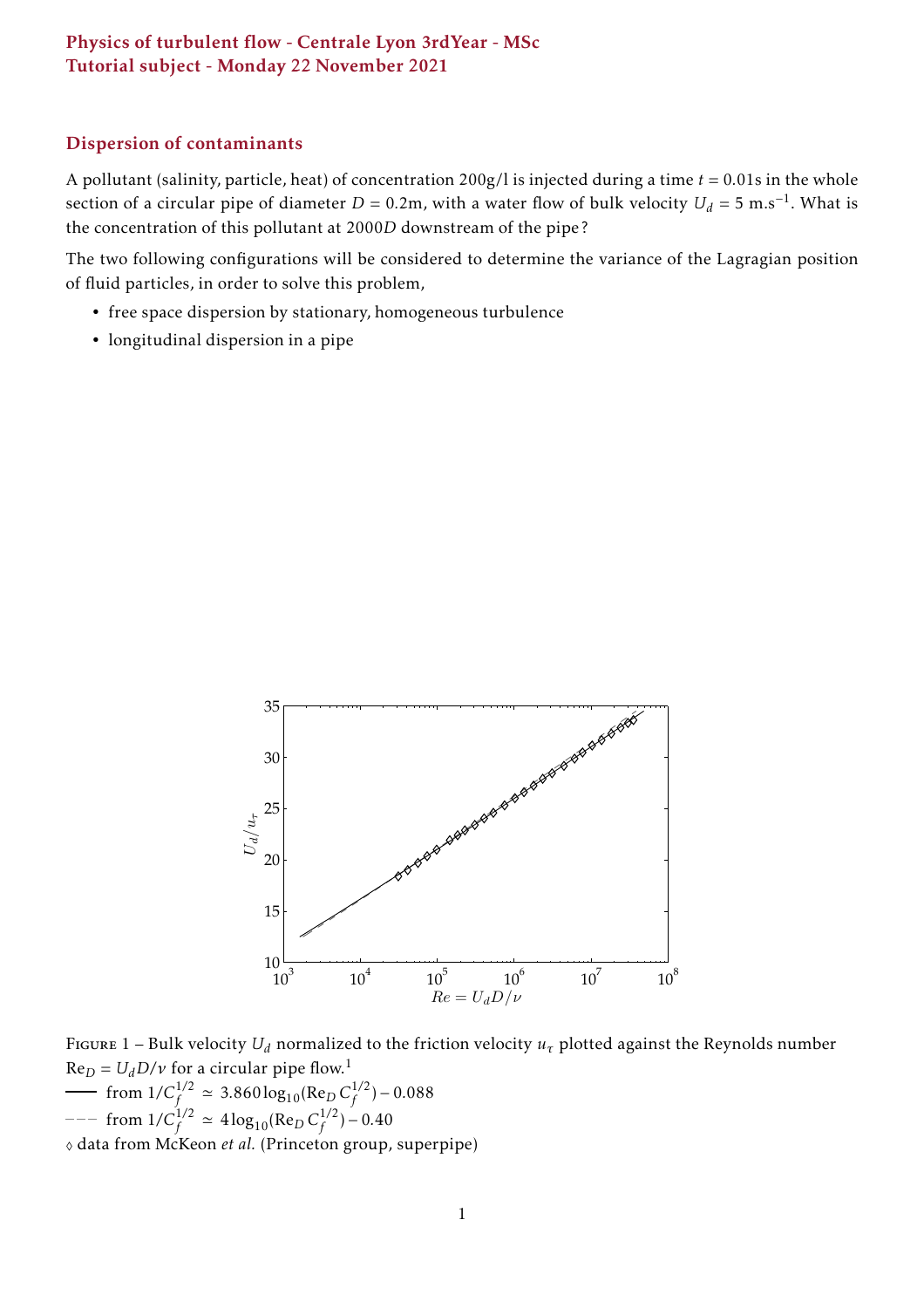### Physics of turbulent flow - Centrale Lyon 3rdYear - MSc Tutorial subject - Monday 22 November 2021

### Dispersion of contaminants

A pollutant (salinity, particle, heat) of concentration 200g/l is injected during a time *t* = 0*.*01s in the whole section of a circular pipe of diameter  $D = 0.2$ m, with a water flow of bulk velocity  $U_d = 5 \text{ m.s}^{-1}$ . What is the concentration of this pollutant at 2000*D* downstream of the pipe ?

The two following configurations will be considered to determine the variance of the Lagragian position of fluid particles, in order to solve this problem,

- free space dispersion by stationary, homogeneous turbulence
- longitudinal dispersion in a pipe



FIGURE 1 – Bulk velocity  $U_d$  normalized to the friction velocity  $u<sub>\tau</sub>$  plotted against the Reynolds number  $Re_D = U_d D/v$  for a circular pipe flow.<sup>[1](#page-1-0)</sup>

from  $1/C_f^{1/2} \approx 3.860 \log_{10} (\text{Re}_D C_f^{1/2})$  $f^{1/2}$ ) – 0.088 from  $1/C_f^{1/2} \simeq 4 \log_{10} (\text{Re}_D C_f^{1/2})$  $f^{1/2}$ ) – 0.40

♦ data from McKeon *et al.* (Princeton group, superpipe)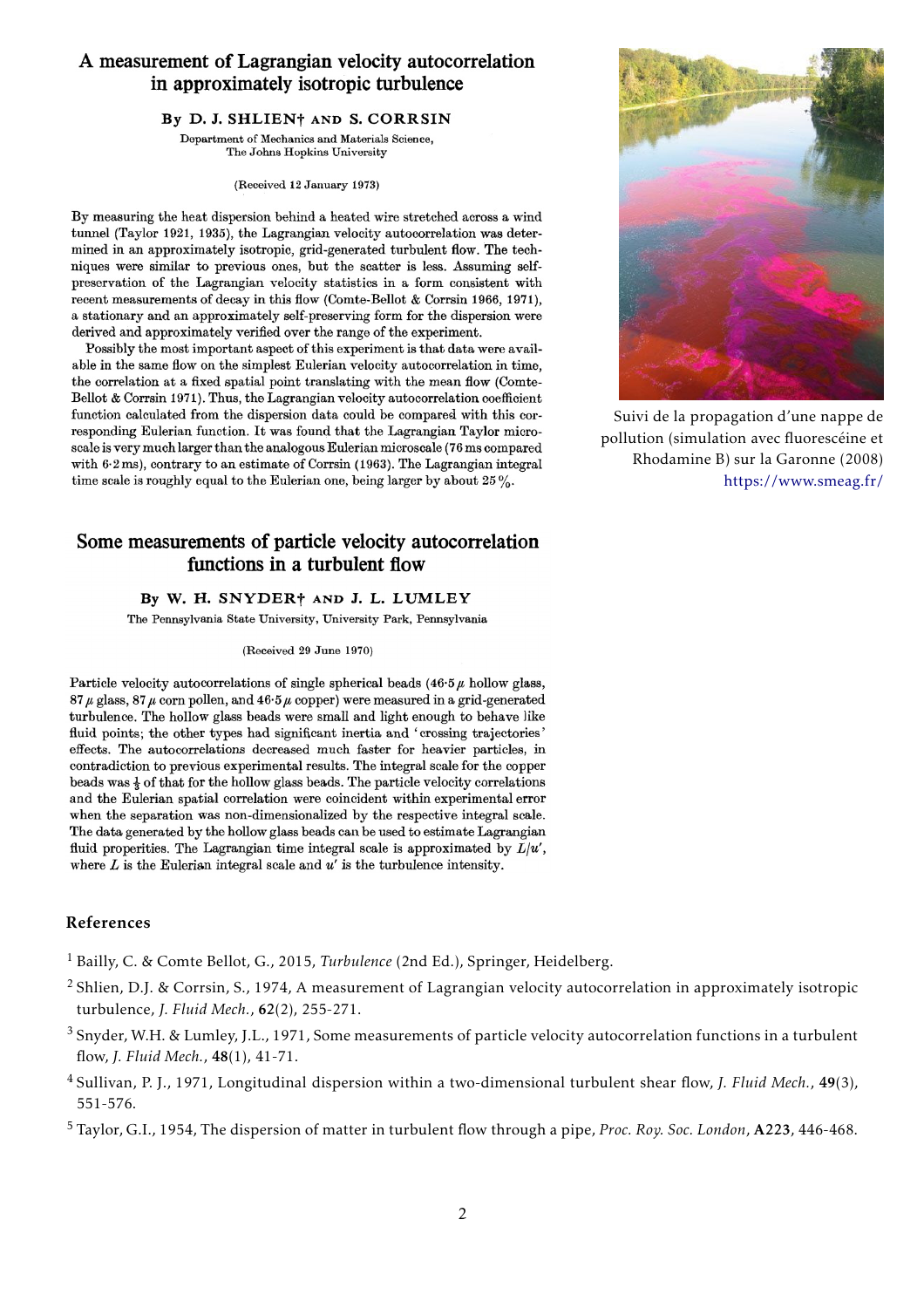### A measurement of Lagrangian velocity autocorrelation in approximately isotropic turbulence

#### By D. J. SHLIEN† AND S. CORRSIN

Department of Mechanics and Materials Science, The Johns Hopkins University

(Received 12 January 1973)

By measuring the heat dispersion behind a heated wire stretched across a wind tunnel (Taylor 1921, 1935), the Lagrangian velocity autocorrelation was determined in an approximately isotropic, grid-generated turbulent flow. The techniques were similar to previous ones, but the scatter is less. Assuming selfpreservation of the Lagrangian velocity statistics in a form consistent with recent measurements of decay in this flow (Comte-Bellot & Corrsin 1966, 1971), a stationary and an approximately self-preserving form for the dispersion were derived and approximately verified over the range of the experiment.

Possibly the most important aspect of this experiment is that data were available in the same flow on the simplest Eulerian velocity autocorrelation in time, the correlation at a fixed spatial point translating with the mean flow (Comte-Bellot & Corrsin 1971). Thus, the Lagrangian velocity autocorrelation coefficient function calculated from the dispersion data could be compared with this corresponding Eulerian function. It was found that the Lagrangian Taylor microscale is very much larger than the analogous Eulerian microscale (76 ms compared with 6.2 ms), contrary to an estimate of Corrsin (1963). The Lagrangian integral time scale is roughly equal to the Eulerian one, being larger by about  $25\%$ .

## Some measurements of particle velocity autocorrelation functions in a turbulent flow

#### By W. H. SNYDER† AND J. L. LUMLEY

The Pennsylvania State University, University Park, Pennsylvania

(Received 29 June 1970)

Particle velocity autocorrelations of single spherical beads  $(46.5 \mu$  hollow glass,  $87 \mu$  glass,  $87 \mu$  corn pollen, and  $46.5 \mu$  copper) were measured in a grid-generated turbulence. The hollow glass beads were small and light enough to behave like fluid points; the other types had significant inertia and 'crossing trajectories' effects. The autocorrelations decreased much faster for heavier particles, in contradiction to previous experimental results. The integral scale for the copper beads was  $\frac{1}{2}$  of that for the hollow glass beads. The particle velocity correlations and the Eulerian spatial correlation were coincident within experimental error when the separation was non-dimensionalized by the respective integral scale. The data generated by the hollow glass beads can be used to estimate Lagrangian fluid properities. The Lagrangian time integral scale is approximated by  $\bar{L}/u'$ , where  $L$  is the Eulerian integral scale and  $u'$  is the turbulence intensity.

#### <span id="page-1-0"></span>References

- <sup>1</sup> Bailly, C. & Comte Bellot, G., 2015, *Turbulence* (2nd Ed.), Springer, Heidelberg.
- <sup>2</sup> Shlien, D.J. & Corrsin, S., 1974, A measurement of Lagrangian velocity autocorrelation in approximately isotropic turbulence, *J. Fluid Mech.*, 62(2), 255-271.
- <sup>3</sup> Snyder, W.H. & Lumley, J.L., 1971, Some measurements of particle velocity autocorrelation functions in a turbulent flow, *J. Fluid Mech.*, 48(1), 41-71.
- <sup>4</sup> Sullivan, P. J., 1971, Longitudinal dispersion within a two-dimensional turbulent shear flow, *J. Fluid Mech.*, 49(3), 551-576.
- <sup>5</sup> Taylor, G.I., 1954, The dispersion of matter in turbulent flow through a pipe, *Proc. Roy. Soc. London*, A223, 446-468.



Suivi de la propagation d'une nappe de pollution (simulation avec fluorescéine et Rhodamine B) sur la Garonne (2008) <https://www.smeag.fr/>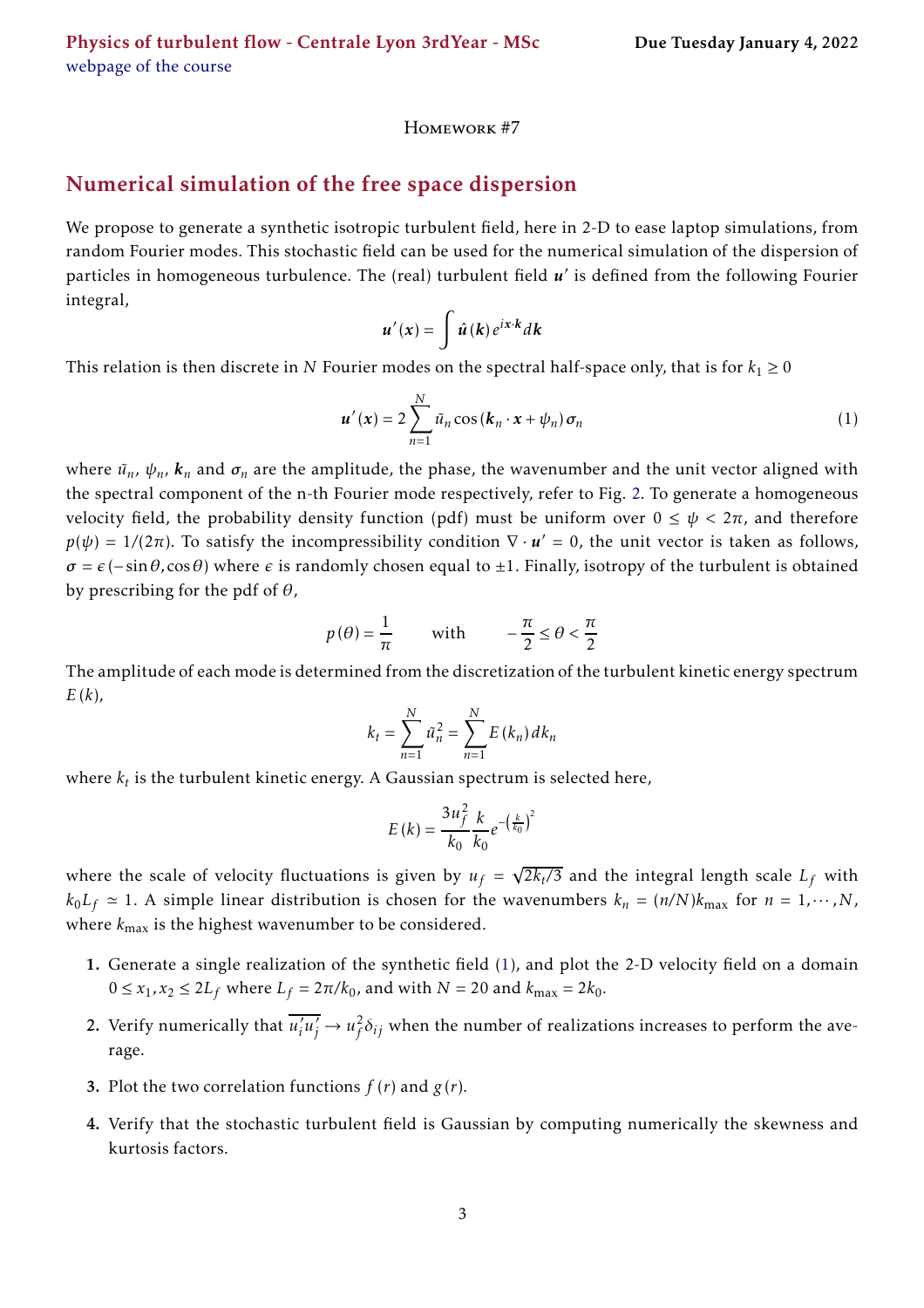Homework #7

# Numerical simulation of the free space dispersion

We propose to generate a synthetic isotropic turbulent field, here in 2-D to ease laptop simulations, from random Fourier modes. This stochastic field can be used for the numerical simulation of the dispersion of particles in homogeneous turbulence. The (real) turbulent field  $u'$  is defined from the following Fourier integral,

$$
u'(x) = \int \hat{u}(k) e^{ix \cdot k} dk
$$

This relation is then discrete in *N* Fourier modes on the spectral half-space only, that is for  $k_1 \ge 0$ 

<span id="page-2-0"></span>
$$
\boldsymbol{u}'(\boldsymbol{x}) = 2 \sum_{n=1}^{N} \tilde{u}_n \cos(\boldsymbol{k}_n \cdot \boldsymbol{x} + \psi_n) \boldsymbol{\sigma}_n
$$
 (1)

where  $\tilde{u}_n$ ,  $\psi_n$ ,  $\mathbf{k}_n$  and  $\sigma_n$  are the amplitude, the phase, the wavenumber and the unit vector aligned with the spectral component of the n-th Fourier mode respectively, refer to Fig. [2.](#page-3-0) To generate a homogeneous velocity field, the probability density function (pdf) must be uniform over  $0 \leq \psi < 2\pi$ , and therefore  $p(\psi) = 1/(2\pi)$ . To satisfy the incompressibility condition  $\nabla \cdot \mathbf{u}' = 0$ , the unit vector is taken as follows,  $\sigma = \epsilon$  (−sin $\theta$ ,cos $\theta$ ) where  $\epsilon$  is randomly chosen equal to  $\pm 1$ . Finally, isotropy of the turbulent is obtained by prescribing for the pdf of *θ*,

$$
p(\theta) = \frac{1}{\pi}
$$
 with  $-\frac{\pi}{2} \le \theta < \frac{\pi}{2}$ 

The amplitude of each mode is determined from the discretization of the turbulent kinetic energy spectrum *E* (*k*),

$$
k_{t} = \sum_{n=1}^{N} \tilde{u}_{n}^{2} = \sum_{n=1}^{N} E(k_{n}) dk_{n}
$$

where  $k_t$  is the turbulent kinetic energy. A Gaussian spectrum is selected here,  $\,$ 

$$
E(k) = \frac{3u_f^2}{k_0} \frac{k}{k_0} e^{-\left(\frac{k}{k_0}\right)^2}
$$

where the scale of velocity fluctuations is given by  $u_f = \sqrt{2k_t/3}$  and the integral length scale  $L_f$  with  $k_0 L_f \approx 1$ . A simple linear distribution is chosen for the wavenumbers  $k_n = (n/N)k_{\text{max}}$  for  $n = 1, \dots, N$ , where *k*max is the highest wavenumber to be considered.

- 1. Generate a single realization of the synthetic field [\(1\)](#page-2-0), and plot the 2-D velocity field on a domain  $0 \le x_1, x_2 \le 2L_f$  where  $L_f = 2\pi/k_0$ , and with  $N = 20$  and  $k_{\text{max}} = 2k_0$ .
- 2. Verify numerically that  $\overline{u'_i u'_j} \rightarrow u_f^2$  $\frac{2}{f} \delta_{ij}$  when the number of realizations increases to perform the average.
- **3.** Plot the two correlation functions  $f(r)$  and  $g(r)$ .
- 4. Verify that the stochastic turbulent field is Gaussian by computing numerically the skewness and kurtosis factors.